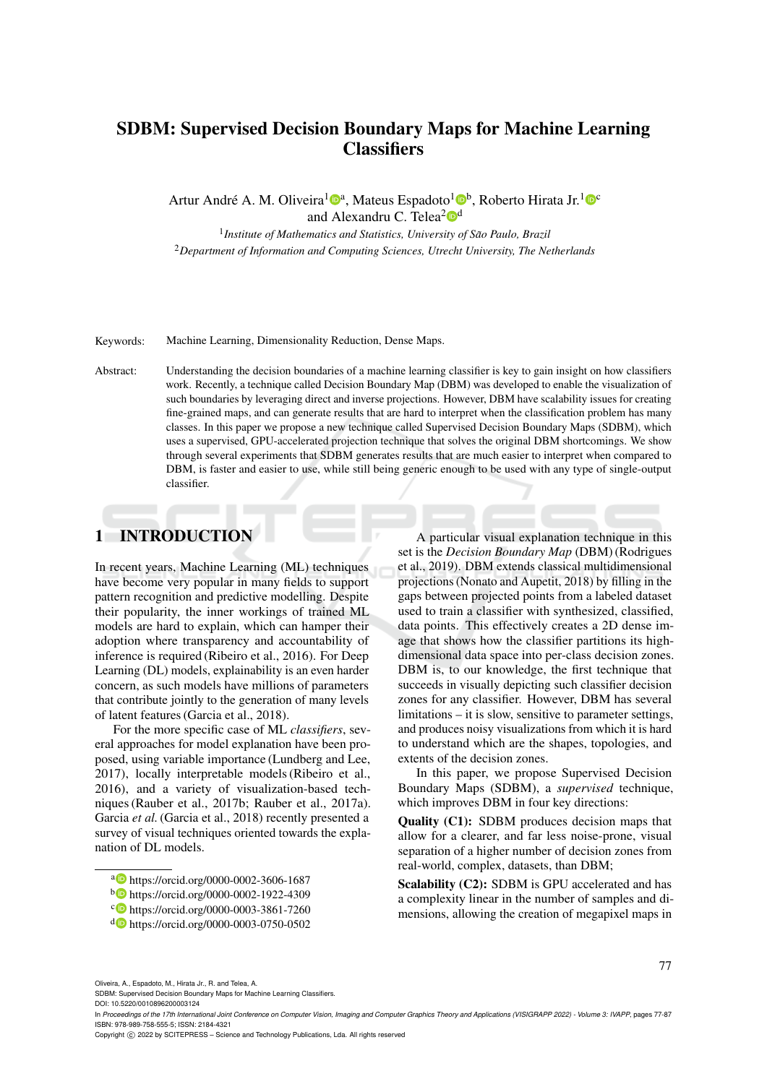# SDBM: Supervised Decision Boundary Maps for Machine Learning **Classifiers**

Artur André A. M. Oliveira<sup>1</sup><sup>®</sup>, Mateus Espadoto<sup>1</sup>®<sup>b</sup>, Roberto Hirata Jr.<sup>1</sup><sup>®</sup> and Alexandru C. Telea<sup>2</sup><sup>od</sup>

<sup>1</sup> Institute of Mathematics and Statistics, University of São Paulo, Brazil <sup>2</sup>*Department of Information and Computing Sciences, Utrecht University, The Netherlands*

Keywords: Machine Learning, Dimensionality Reduction, Dense Maps.

Abstract: Understanding the decision boundaries of a machine learning classifier is key to gain insight on how classifiers work. Recently, a technique called Decision Boundary Map (DBM) was developed to enable the visualization of such boundaries by leveraging direct and inverse projections. However, DBM have scalability issues for creating fine-grained maps, and can generate results that are hard to interpret when the classification problem has many classes. In this paper we propose a new technique called Supervised Decision Boundary Maps (SDBM), which uses a supervised, GPU-accelerated projection technique that solves the original DBM shortcomings. We show through several experiments that SDBM generates results that are much easier to interpret when compared to DBM, is faster and easier to use, while still being generic enough to be used with any type of single-output classifier.

## 1 INTRODUCTION

In recent years, Machine Learning (ML) techniques have become very popular in many fields to support pattern recognition and predictive modelling. Despite their popularity, the inner workings of trained ML models are hard to explain, which can hamper their adoption where transparency and accountability of inference is required (Ribeiro et al., 2016). For Deep Learning (DL) models, explainability is an even harder concern, as such models have millions of parameters that contribute jointly to the generation of many levels of latent features (Garcia et al., 2018).

For the more specific case of ML *classifiers*, several approaches for model explanation have been proposed, using variable importance (Lundberg and Lee, 2017), locally interpretable models (Ribeiro et al., 2016), and a variety of visualization-based techniques (Rauber et al., 2017b; Rauber et al., 2017a). Garcia et al. (Garcia et al., 2018) recently presented a survey of visual techniques oriented towards the explanation of DL models.

A particular visual explanation technique in this set is the *Decision Boundary Map* (DBM) (Rodrigues et al., 2019). DBM extends classical multidimensional projections (Nonato and Aupetit, 2018) by filling in the gaps between projected points from a labeled dataset used to train a classifier with synthesized, classified, data points. This effectively creates a 2D dense image that shows how the classifier partitions its highdimensional data space into per-class decision zones. DBM is, to our knowledge, the first technique that succeeds in visually depicting such classifier decision zones for any classifier. However, DBM has several limitations – it is slow, sensitive to parameter settings, and produces noisy visualizations from which it is hard to understand which are the shapes, topologies, and extents of the decision zones.

In this paper, we propose Supervised Decision Boundary Maps (SDBM), a *supervised* technique, which improves DBM in four key directions:

Quality (C1): SDBM produces decision maps that allow for a clearer, and far less noise-prone, visual separation of a higher number of decision zones from real-world, complex, datasets, than DBM;

Scalability (C2): SDBM is GPU accelerated and has a complexity linear in the number of samples and dimensions, allowing the creation of megapixel maps in

Oliveira, A., Espadoto, M., Hirata Jr., R. and Telea, A.

Copyright (C) 2022 by SCITEPRESS - Science and Technology Publications, Lda. All rights reserved

a https://orcid.org/0000-0002-3606-1687

<sup>b</sup> https://orcid.org/0000-0002-1922-4309

c https://orcid.org/0000-0003-3861-7260

<sup>d</sup> https://orcid.org/0000-0003-0750-0502

SDBM: Supervised Decision Boundary Maps for Machine Learning Classifiers. DOI: 10.5220/0010896200003124

In *Proceedings of the 17th International Joint Conference on Computer Vision, Imaging and Computer Graphics Theory and Applications (VISIGRAPP 2022) - Volume 3: IVAPP*, pages 77-87 ISBN: 978-989-758-555-5; ISSN: 2184-4321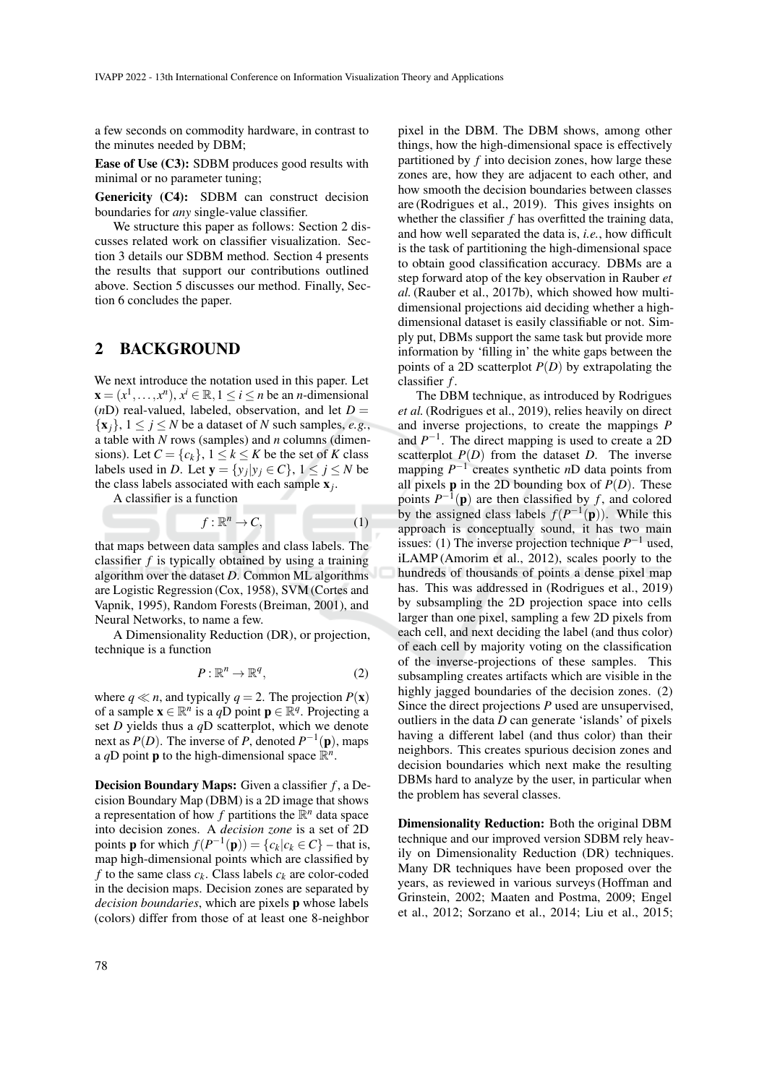a few seconds on commodity hardware, in contrast to the minutes needed by DBM;

Ease of Use (C3): SDBM produces good results with minimal or no parameter tuning;

Genericity (C4): SDBM can construct decision boundaries for *any* single-value classifier.

We structure this paper as follows: Section 2 discusses related work on classifier visualization. Section 3 details our SDBM method. Section 4 presents the results that support our contributions outlined above. Section 5 discusses our method. Finally, Section 6 concludes the paper.

### 2 BACKGROUND

We next introduce the notation used in this paper. Let  $\mathbf{x} = (x^1, \dots, x^n), x^i \in \mathbb{R}, 1 \le i \le n$  be an *n*-dimensional ( $nD$ ) real-valued, labeled, observation, and let  $D =$  $\{x_i\}, 1 \leq j \leq N$  be a dataset of *N* such samples, *e.g.*, a table with *N* rows (samples) and *n* columns (dimensions). Let  $C = \{c_k\}$ ,  $1 \le k \le K$  be the set of K class labels used in *D*. Let  $\mathbf{y} = \{y_j | y_j \in C\}$ ,  $1 \le j \le N$  be the class labels associated with each sample x*<sup>j</sup>* .

A classifier is a function

$$
f: \mathbb{R}^n \to C,\tag{1}
$$

that maps between data samples and class labels. The classifier *f* is typically obtained by using a training algorithm over the dataset *D*. Common ML algorithms are Logistic Regression (Cox, 1958), SVM (Cortes and Vapnik, 1995), Random Forests (Breiman, 2001), and Neural Networks, to name a few.

A Dimensionality Reduction (DR), or projection, technique is a function

$$
P: \mathbb{R}^n \to \mathbb{R}^q, \tag{2}
$$

where  $q \ll n$ , and typically  $q = 2$ . The projection  $P(\mathbf{x})$ of a sample  $\mathbf{x} \in \mathbb{R}^n$  is a *q*D point  $\mathbf{p} \in \mathbb{R}^q$ . Projecting a set *D* yields thus a *q*D scatterplot, which we denote next as  $P(D)$ . The inverse of P, denoted  $P^{-1}(\mathbf{p})$ , maps a qD point **p** to the high-dimensional space  $\mathbb{R}^n$ .

Decision Boundary Maps: Given a classifier *f* , a Decision Boundary Map (DBM) is a 2D image that shows a representation of how  $f$  partitions the  $\mathbb{R}^n$  data space into decision zones. A *decision zone* is a set of 2D points **p** for which  $f(P^{-1}(\mathbf{p})) = \{c_k | c_k \in C\}$  – that is, map high-dimensional points which are classified by *f* to the same class  $c_k$ . Class labels  $c_k$  are color-coded in the decision maps. Decision zones are separated by *decision boundaries*, which are pixels p whose labels (colors) differ from those of at least one 8-neighbor

pixel in the DBM. The DBM shows, among other things, how the high-dimensional space is effectively partitioned by *f* into decision zones, how large these zones are, how they are adjacent to each other, and how smooth the decision boundaries between classes are (Rodrigues et al., 2019). This gives insights on whether the classifier *f* has overfitted the training data, and how well separated the data is, *i.e.*, how difficult is the task of partitioning the high-dimensional space to obtain good classification accuracy. DBMs are a step forward atop of the key observation in Rauber *et al.*(Rauber et al., 2017b), which showed how multidimensional projections aid deciding whether a highdimensional dataset is easily classifiable or not. Simply put, DBMs support the same task but provide more information by 'filling in' the white gaps between the points of a 2D scatterplot *P*(*D*) by extrapolating the classifier *f* .

The DBM technique, as introduced by Rodrigues *et al.*(Rodrigues et al., 2019), relies heavily on direct and inverse projections, to create the mappings *P* and  $P^{-1}$ . The direct mapping is used to create a 2D scatterplot  $P(D)$  from the dataset *D*. The inverse mapping  $P^{-1}$  creates synthetic *n*D data points from all pixels **p** in the 2D bounding box of  $P(D)$ . These points  $P^{-1}(\mathbf{p})$  are then classified by *f*, and colored by the assigned class labels  $f(P^{-1}(\mathbf{p}))$ . While this approach is conceptually sound, it has two main issues: (1) The inverse projection technique  $P^{-1}$  used, iLAMP (Amorim et al., 2012), scales poorly to the hundreds of thousands of points a dense pixel map has. This was addressed in (Rodrigues et al., 2019) by subsampling the 2D projection space into cells larger than one pixel, sampling a few 2D pixels from each cell, and next deciding the label (and thus color) of each cell by majority voting on the classification of the inverse-projections of these samples. This subsampling creates artifacts which are visible in the highly jagged boundaries of the decision zones. (2) Since the direct projections *P* used are unsupervised, outliers in the data *D* can generate 'islands' of pixels having a different label (and thus color) than their neighbors. This creates spurious decision zones and decision boundaries which next make the resulting DBMs hard to analyze by the user, in particular when the problem has several classes.

Dimensionality Reduction: Both the original DBM technique and our improved version SDBM rely heavily on Dimensionality Reduction (DR) techniques. Many DR techniques have been proposed over the years, as reviewed in various surveys (Hoffman and Grinstein, 2002; Maaten and Postma, 2009; Engel et al., 2012; Sorzano et al., 2014; Liu et al., 2015;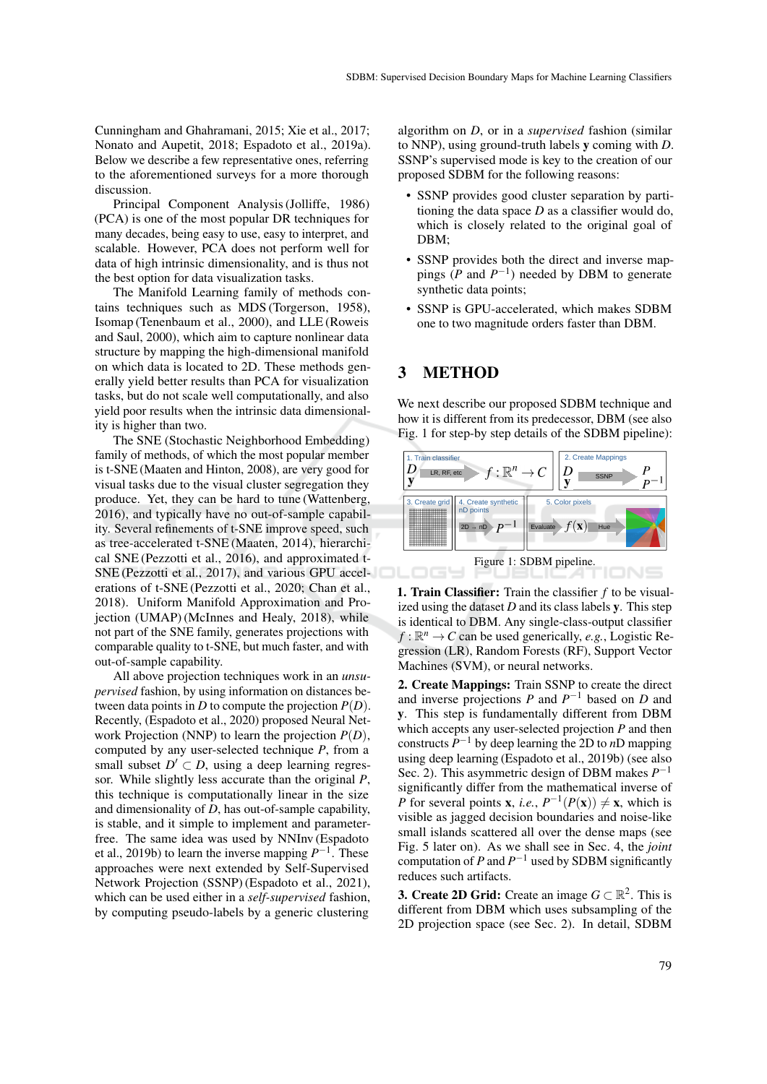Cunningham and Ghahramani, 2015; Xie et al., 2017; Nonato and Aupetit, 2018; Espadoto et al., 2019a). Below we describe a few representative ones, referring to the aforementioned surveys for a more thorough discussion.

Principal Component Analysis (Jolliffe, 1986) (PCA) is one of the most popular DR techniques for many decades, being easy to use, easy to interpret, and scalable. However, PCA does not perform well for data of high intrinsic dimensionality, and is thus not the best option for data visualization tasks.

The Manifold Learning family of methods contains techniques such as MDS (Torgerson, 1958), Isomap (Tenenbaum et al., 2000), and LLE (Roweis and Saul, 2000), which aim to capture nonlinear data structure by mapping the high-dimensional manifold on which data is located to 2D. These methods generally yield better results than PCA for visualization tasks, but do not scale well computationally, and also yield poor results when the intrinsic data dimensionality is higher than two.

The SNE (Stochastic Neighborhood Embedding) family of methods, of which the most popular member is t-SNE (Maaten and Hinton, 2008), are very good for visual tasks due to the visual cluster segregation they produce. Yet, they can be hard to tune (Wattenberg, 2016), and typically have no out-of-sample capability. Several refinements of t-SNE improve speed, such as tree-accelerated t-SNE (Maaten, 2014), hierarchical SNE (Pezzotti et al., 2016), and approximated t-SNE (Pezzotti et al., 2017), and various GPU accelerations of t-SNE (Pezzotti et al., 2020; Chan et al., 2018). Uniform Manifold Approximation and Projection (UMAP) (McInnes and Healy, 2018), while not part of the SNE family, generates projections with comparable quality to t-SNE, but much faster, and with out-of-sample capability.

All above projection techniques work in an *unsupervised* fashion, by using information on distances between data points in *D* to compute the projection  $P(D)$ . Recently, (Espadoto et al., 2020) proposed Neural Network Projection (NNP) to learn the projection *P*(*D*), computed by any user-selected technique *P*, from a small subset  $D' \subset D$ , using a deep learning regressor. While slightly less accurate than the original *P*, this technique is computationally linear in the size and dimensionality of *D*, has out-of-sample capability, is stable, and it simple to implement and parameterfree. The same idea was used by NNInv (Espadoto et al., 2019b) to learn the inverse mapping  $P^{-1}$ . These approaches were next extended by Self-Supervised Network Projection (SSNP) (Espadoto et al., 2021), which can be used either in a *self-supervised* fashion, by computing pseudo-labels by a generic clustering

algorithm on *D*, or in a *supervised* fashion (similar to NNP), using ground-truth labels y coming with *D*. SSNP's supervised mode is key to the creation of our proposed SDBM for the following reasons:

- SSNP provides good cluster separation by partitioning the data space *D* as a classifier would do, which is closely related to the original goal of DBM;
- SSNP provides both the direct and inverse mappings ( $P$  and  $P^{-1}$ ) needed by DBM to generate synthetic data points;
- SSNP is GPU-accelerated, which makes SDBM one to two magnitude orders faster than DBM.

### 3 METHOD

We next describe our proposed SDBM technique and how it is different from its predecessor, DBM (see also Fig. 1 for step-by step details of the SDBM pipeline):





2. Create Mappings: Train SSNP to create the direct and inverse projections  $P$  and  $P^{-1}$  based on  $D$  and y. This step is fundamentally different from DBM which accepts any user-selected projection *P* and then constructs  $P^{-1}$  by deep learning the 2D to *n*D mapping using deep learning (Espadoto et al., 2019b) (see also Sec. 2). This asymmetric design of DBM makes  $P^{-1}$ significantly differ from the mathematical inverse of *P* for several points **x**, *i.e.*,  $P^{-1}(P(\mathbf{x})) \neq \mathbf{x}$ , which is visible as jagged decision boundaries and noise-like small islands scattered all over the dense maps (see Fig. 5 later on). As we shall see in Sec. 4, the *joint* computation of  $P$  and  $P^{-1}$  used by SDBM significantly reduces such artifacts.

**3. Create 2D Grid:** Create an image  $G \subset \mathbb{R}^2$ . This is different from DBM which uses subsampling of the 2D projection space (see Sec. 2). In detail, SDBM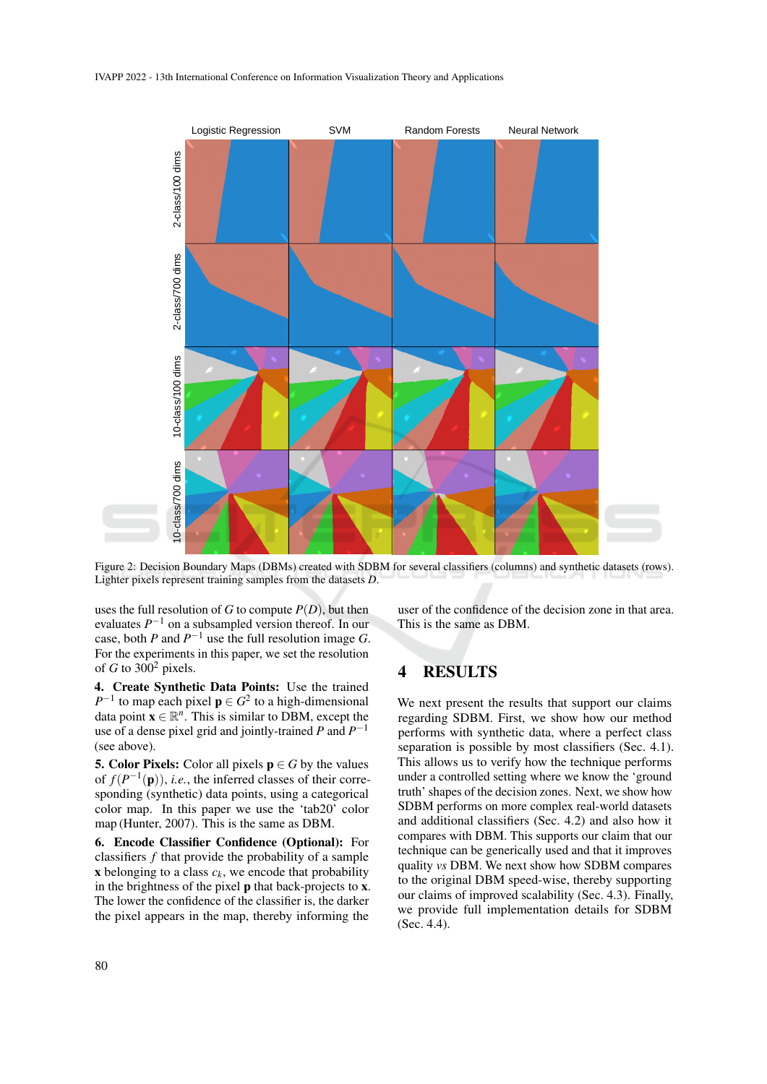

Figure 2: Decision Boundary Maps (DBMs) created with SDBM for several classifiers (columns) and synthetic datasets (rows). Lighter pixels represent training samples from the datasets *D*.

uses the full resolution of *G* to compute *P*(*D*), but then evaluates  $P^{-1}$  on a subsampled version thereof. In our case, both *P* and  $P^{-1}$  use the full resolution image *G*. For the experiments in this paper, we set the resolution of *G* to  $300^2$  pixels.

4. Create Synthetic Data Points: Use the trained  $P^{-1}$  to map each pixel  $p \in G^2$  to a high-dimensional data point  $\mathbf{x} \in \mathbb{R}^n$ . This is similar to DBM, except the use of a dense pixel grid and jointly-trained  $P$  and  $P^{-1}$ (see above).

**5. Color Pixels:** Color all pixels  $p \in G$  by the values of  $f(P^{-1}(\mathbf{p}))$ , *i.e.*, the inferred classes of their corresponding (synthetic) data points, using a categorical color map. In this paper we use the 'tab20' color map (Hunter, 2007). This is the same as DBM.

6. Encode Classifier Confidence (Optional): For classifiers *f* that provide the probability of a sample  $x$  belonging to a class  $c_k$ , we encode that probability in the brightness of the pixel p that back-projects to x. The lower the confidence of the classifier is, the darker the pixel appears in the map, thereby informing the

user of the confidence of the decision zone in that area. This is the same as DBM.

### 4 RESULTS

We next present the results that support our claims regarding SDBM. First, we show how our method performs with synthetic data, where a perfect class separation is possible by most classifiers (Sec. 4.1). This allows us to verify how the technique performs under a controlled setting where we know the 'ground truth' shapes of the decision zones. Next, we show how SDBM performs on more complex real-world datasets and additional classifiers (Sec. 4.2) and also how it compares with DBM. This supports our claim that our technique can be generically used and that it improves quality *vs* DBM. We next show how SDBM compares to the original DBM speed-wise, thereby supporting our claims of improved scalability (Sec. 4.3). Finally, we provide full implementation details for SDBM (Sec. 4.4).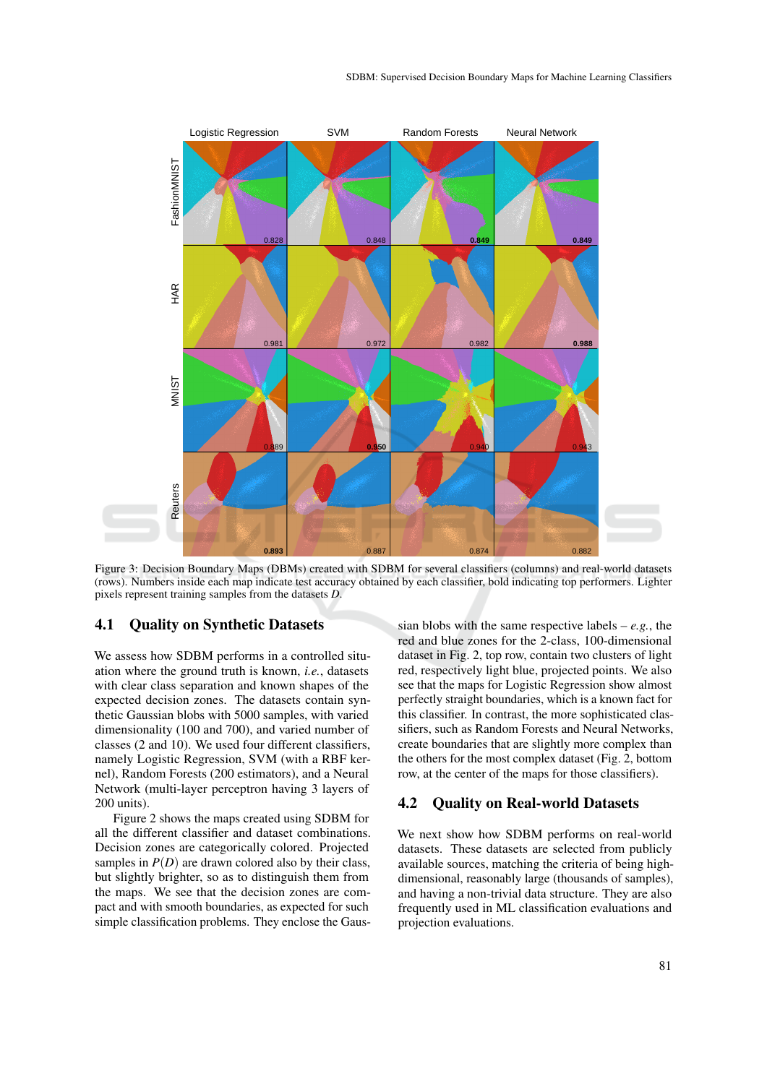

Figure 3: Decision Boundary Maps (DBMs) created with SDBM for several classifiers (columns) and real-world datasets (rows). Numbers inside each map indicate test accuracy obtained by each classifier, bold indicating top performers. Lighter pixels represent training samples from the datasets *D*.

#### 4.1 Quality on Synthetic Datasets

We assess how SDBM performs in a controlled situation where the ground truth is known, *i.e.*, datasets with clear class separation and known shapes of the expected decision zones. The datasets contain synthetic Gaussian blobs with 5000 samples, with varied dimensionality (100 and 700), and varied number of classes (2 and 10). We used four different classifiers, namely Logistic Regression, SVM (with a RBF kernel), Random Forests (200 estimators), and a Neural Network (multi-layer perceptron having 3 layers of 200 units).

Figure 2 shows the maps created using SDBM for all the different classifier and dataset combinations. Decision zones are categorically colored. Projected samples in  $P(D)$  are drawn colored also by their class, but slightly brighter, so as to distinguish them from the maps. We see that the decision zones are compact and with smooth boundaries, as expected for such simple classification problems. They enclose the Gaus-

sian blobs with the same respective labels – *e.g.*, the red and blue zones for the 2-class, 100-dimensional dataset in Fig. 2, top row, contain two clusters of light red, respectively light blue, projected points. We also see that the maps for Logistic Regression show almost perfectly straight boundaries, which is a known fact for this classifier. In contrast, the more sophisticated classifiers, such as Random Forests and Neural Networks, create boundaries that are slightly more complex than the others for the most complex dataset (Fig. 2, bottom row, at the center of the maps for those classifiers).

#### 4.2 Quality on Real-world Datasets

We next show how SDBM performs on real-world datasets. These datasets are selected from publicly available sources, matching the criteria of being highdimensional, reasonably large (thousands of samples), and having a non-trivial data structure. They are also frequently used in ML classification evaluations and projection evaluations.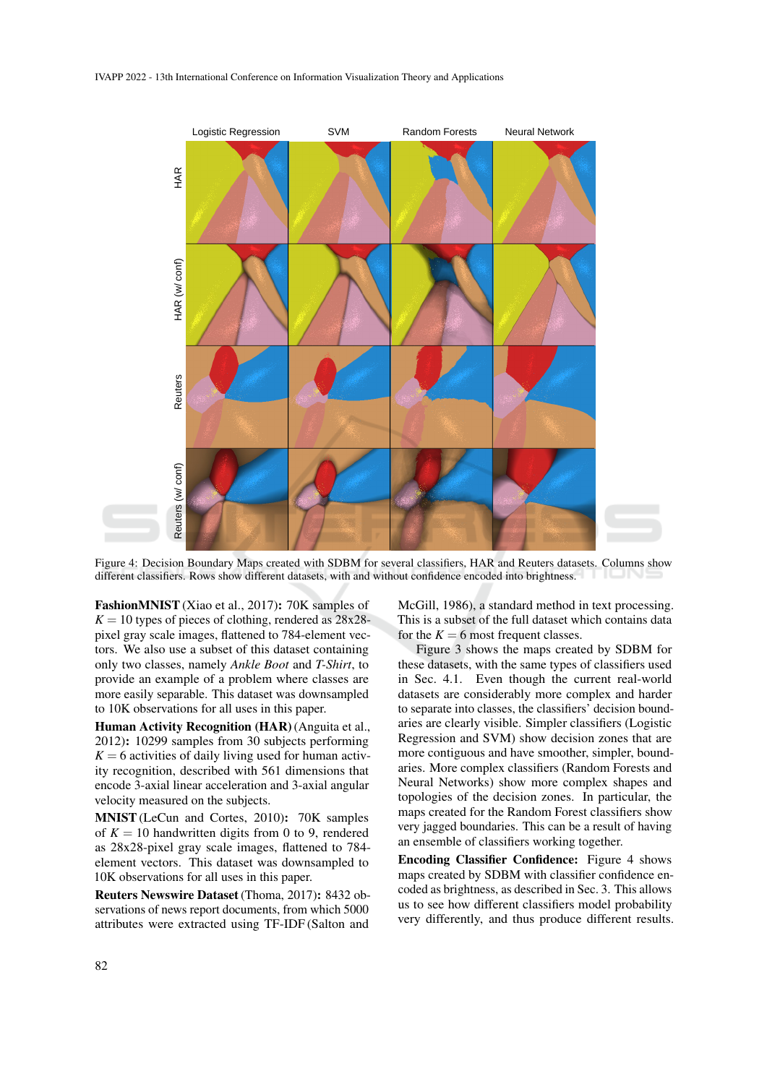

Figure 4: Decision Boundary Maps created with SDBM for several classifiers, HAR and Reuters datasets. Columns show different classifiers. Rows show different datasets, with and without confidence encoded into brightness.

FashionMNIST(Xiao et al., 2017): 70K samples of  $K = 10$  types of pieces of clothing, rendered as  $28x28$ pixel gray scale images, flattened to 784-element vectors. We also use a subset of this dataset containing only two classes, namely *Ankle Boot* and *T-Shirt*, to provide an example of a problem where classes are more easily separable. This dataset was downsampled to 10K observations for all uses in this paper.

Human Activity Recognition (HAR) (Anguita et al., 2012): 10299 samples from 30 subjects performing  $K = 6$  activities of daily living used for human activity recognition, described with 561 dimensions that encode 3-axial linear acceleration and 3-axial angular velocity measured on the subjects.

MNIST(LeCun and Cortes, 2010): 70K samples of  $K = 10$  handwritten digits from 0 to 9, rendered as 28x28-pixel gray scale images, flattened to 784 element vectors. This dataset was downsampled to 10K observations for all uses in this paper.

Reuters Newswire Dataset (Thoma, 2017): 8432 observations of news report documents, from which 5000 attributes were extracted using TF-IDF (Salton and

McGill, 1986), a standard method in text processing. This is a subset of the full dataset which contains data for the  $K = 6$  most frequent classes.

Figure 3 shows the maps created by SDBM for these datasets, with the same types of classifiers used in Sec. 4.1. Even though the current real-world datasets are considerably more complex and harder to separate into classes, the classifiers' decision boundaries are clearly visible. Simpler classifiers (Logistic Regression and SVM) show decision zones that are more contiguous and have smoother, simpler, boundaries. More complex classifiers (Random Forests and Neural Networks) show more complex shapes and topologies of the decision zones. In particular, the maps created for the Random Forest classifiers show very jagged boundaries. This can be a result of having an ensemble of classifiers working together.

Encoding Classifier Confidence: Figure 4 shows maps created by SDBM with classifier confidence encoded as brightness, as described in Sec. 3. This allows us to see how different classifiers model probability very differently, and thus produce different results.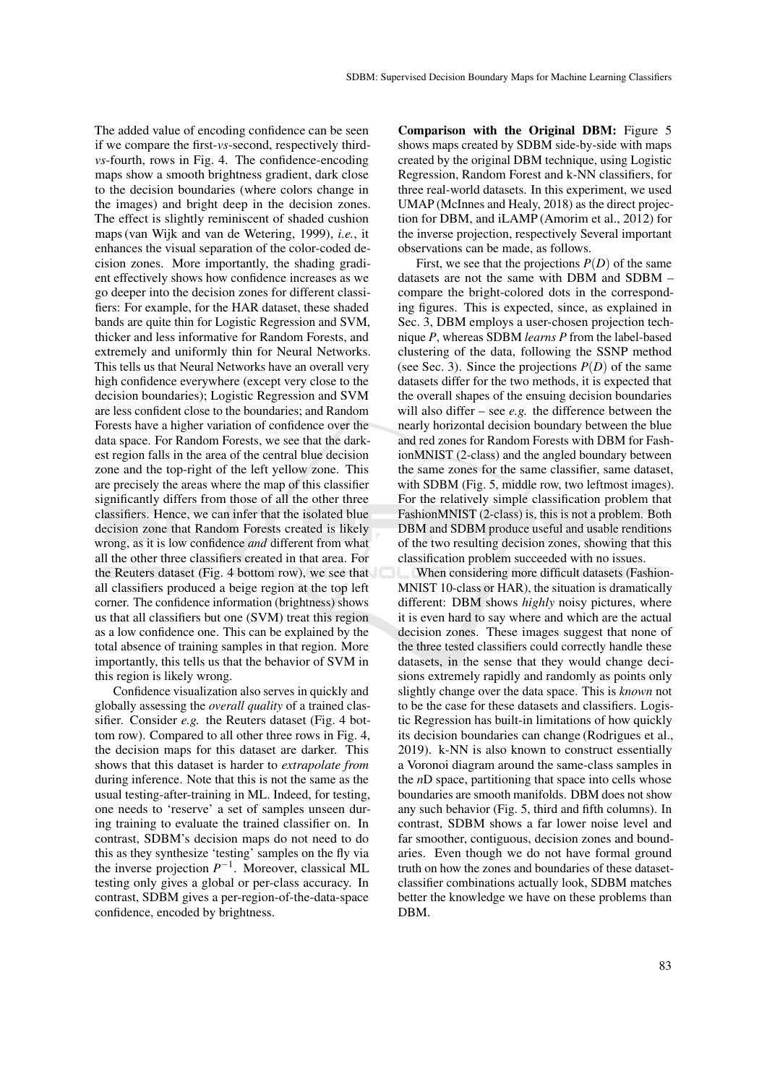The added value of encoding confidence can be seen if we compare the first-*vs*-second, respectively third*vs*-fourth, rows in Fig. 4. The confidence-encoding maps show a smooth brightness gradient, dark close to the decision boundaries (where colors change in the images) and bright deep in the decision zones. The effect is slightly reminiscent of shaded cushion maps (van Wijk and van de Wetering, 1999), *i.e.*, it enhances the visual separation of the color-coded decision zones. More importantly, the shading gradient effectively shows how confidence increases as we go deeper into the decision zones for different classifiers: For example, for the HAR dataset, these shaded bands are quite thin for Logistic Regression and SVM, thicker and less informative for Random Forests, and extremely and uniformly thin for Neural Networks. This tells us that Neural Networks have an overall very high confidence everywhere (except very close to the decision boundaries); Logistic Regression and SVM are less confident close to the boundaries; and Random Forests have a higher variation of confidence over the data space. For Random Forests, we see that the darkest region falls in the area of the central blue decision zone and the top-right of the left yellow zone. This are precisely the areas where the map of this classifier significantly differs from those of all the other three classifiers. Hence, we can infer that the isolated blue decision zone that Random Forests created is likely wrong, as it is low confidence *and* different from what all the other three classifiers created in that area. For the Reuters dataset (Fig. 4 bottom row), we see that all classifiers produced a beige region at the top left corner. The confidence information (brightness) shows us that all classifiers but one (SVM) treat this region as a low confidence one. This can be explained by the total absence of training samples in that region. More importantly, this tells us that the behavior of SVM in this region is likely wrong.

Confidence visualization also serves in quickly and globally assessing the *overall quality* of a trained classifier. Consider *e.g.* the Reuters dataset (Fig. 4 bottom row). Compared to all other three rows in Fig. 4, the decision maps for this dataset are darker. This shows that this dataset is harder to *extrapolate from* during inference. Note that this is not the same as the usual testing-after-training in ML. Indeed, for testing, one needs to 'reserve' a set of samples unseen during training to evaluate the trained classifier on. In contrast, SDBM's decision maps do not need to do this as they synthesize 'testing' samples on the fly via the inverse projection  $P^{-1}$ . Moreover, classical ML testing only gives a global or per-class accuracy. In contrast, SDBM gives a per-region-of-the-data-space confidence, encoded by brightness.

Comparison with the Original DBM: Figure 5 shows maps created by SDBM side-by-side with maps created by the original DBM technique, using Logistic Regression, Random Forest and k-NN classifiers, for three real-world datasets. In this experiment, we used UMAP (McInnes and Healy, 2018) as the direct projection for DBM, and iLAMP (Amorim et al., 2012) for the inverse projection, respectively Several important observations can be made, as follows.

First, we see that the projections  $P(D)$  of the same datasets are not the same with DBM and SDBM – compare the bright-colored dots in the corresponding figures. This is expected, since, as explained in Sec. 3, DBM employs a user-chosen projection technique *P*, whereas SDBM *learns P* from the label-based clustering of the data, following the SSNP method (see Sec. 3). Since the projections  $P(D)$  of the same datasets differ for the two methods, it is expected that the overall shapes of the ensuing decision boundaries will also differ – see *e.g.* the difference between the nearly horizontal decision boundary between the blue and red zones for Random Forests with DBM for FashionMNIST (2-class) and the angled boundary between the same zones for the same classifier, same dataset, with SDBM (Fig. 5, middle row, two leftmost images). For the relatively simple classification problem that FashionMNIST (2-class) is, this is not a problem. Both DBM and SDBM produce useful and usable renditions of the two resulting decision zones, showing that this classification problem succeeded with no issues.

When considering more difficult datasets (Fashion-MNIST 10-class or HAR), the situation is dramatically different: DBM shows *highly* noisy pictures, where it is even hard to say where and which are the actual decision zones. These images suggest that none of the three tested classifiers could correctly handle these datasets, in the sense that they would change decisions extremely rapidly and randomly as points only slightly change over the data space. This is *known* not to be the case for these datasets and classifiers. Logistic Regression has built-in limitations of how quickly its decision boundaries can change (Rodrigues et al., 2019). k-NN is also known to construct essentially a Voronoi diagram around the same-class samples in the *n*D space, partitioning that space into cells whose boundaries are smooth manifolds. DBM does not show any such behavior (Fig. 5, third and fifth columns). In contrast, SDBM shows a far lower noise level and far smoother, contiguous, decision zones and boundaries. Even though we do not have formal ground truth on how the zones and boundaries of these datasetclassifier combinations actually look, SDBM matches better the knowledge we have on these problems than DBM.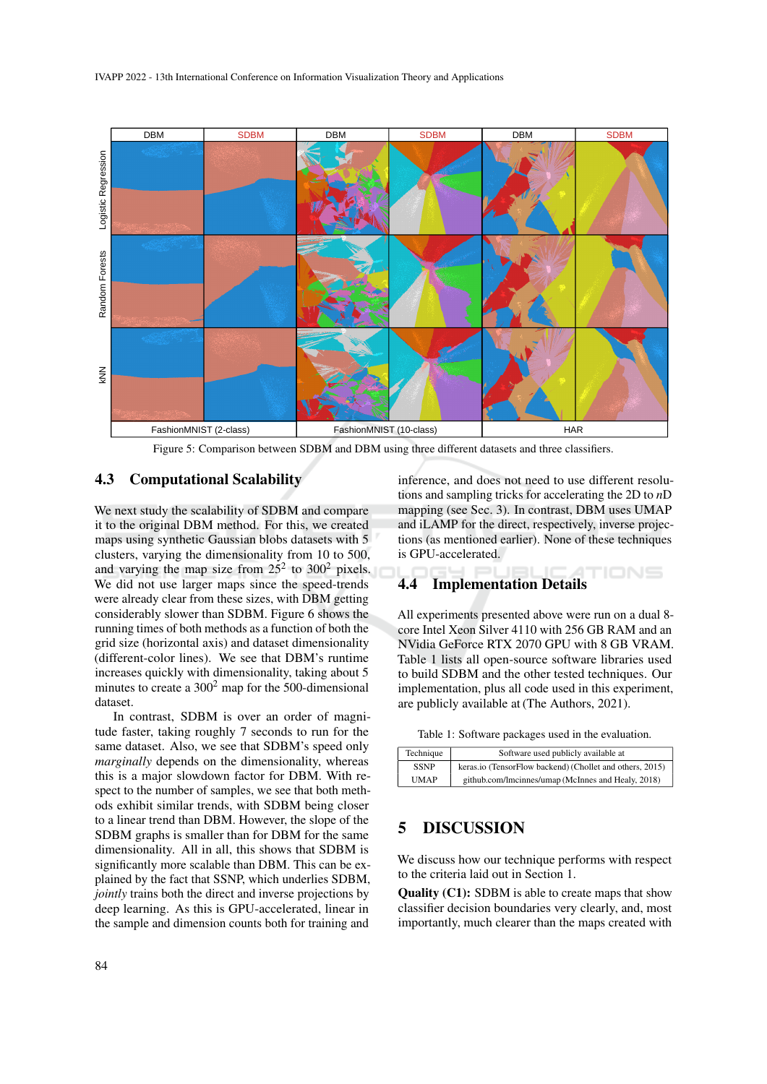

Figure 5: Comparison between SDBM and DBM using three different datasets and three classifiers.

### 4.3 Computational Scalability

We next study the scalability of SDBM and compare it to the original DBM method. For this, we created maps using synthetic Gaussian blobs datasets with 5 clusters, varying the dimensionality from 10 to 500, and varying the map size from  $25^2$  to  $300^2$  pixels. We did not use larger maps since the speed-trends were already clear from these sizes, with DBM getting considerably slower than SDBM. Figure 6 shows the running times of both methods as a function of both the grid size (horizontal axis) and dataset dimensionality (different-color lines). We see that DBM's runtime increases quickly with dimensionality, taking about 5 minutes to create a  $300<sup>2</sup>$  map for the 500-dimensional dataset.

In contrast, SDBM is over an order of magnitude faster, taking roughly 7 seconds to run for the same dataset. Also, we see that SDBM's speed only *marginally* depends on the dimensionality, whereas this is a major slowdown factor for DBM. With respect to the number of samples, we see that both methods exhibit similar trends, with SDBM being closer to a linear trend than DBM. However, the slope of the SDBM graphs is smaller than for DBM for the same dimensionality. All in all, this shows that SDBM is significantly more scalable than DBM. This can be explained by the fact that SSNP, which underlies SDBM, *jointly* trains both the direct and inverse projections by deep learning. As this is GPU-accelerated, linear in the sample and dimension counts both for training and

inference, and does not need to use different resolutions and sampling tricks for accelerating the 2D to *n*D mapping (see Sec. 3). In contrast, DBM uses UMAP and iLAMP for the direct, respectively, inverse projections (as mentioned earlier). None of these techniques is GPU-accelerated.

## 4.4 Implementation Details

All experiments presented above were run on a dual 8 core Intel Xeon Silver 4110 with 256 GB RAM and an NVidia GeForce RTX 2070 GPU with 8 GB VRAM. Table 1 lists all open-source software libraries used to build SDBM and the other tested techniques. Our implementation, plus all code used in this experiment, are publicly available at (The Authors, 2021).

| Table 1: Software packages used in the evaluation. |  |  |  |
|----------------------------------------------------|--|--|--|
|----------------------------------------------------|--|--|--|

| Technique   | Software used publicly available at                      |
|-------------|----------------------------------------------------------|
| <b>SSNP</b> | keras.io (TensorFlow backend) (Chollet and others, 2015) |
| <b>UMAP</b> | github.com/lmcinnes/umap (McInnes and Healy, 2018)       |

### 5 DISCUSSION

We discuss how our technique performs with respect to the criteria laid out in Section 1.

Quality (C1): SDBM is able to create maps that show classifier decision boundaries very clearly, and, most importantly, much clearer than the maps created with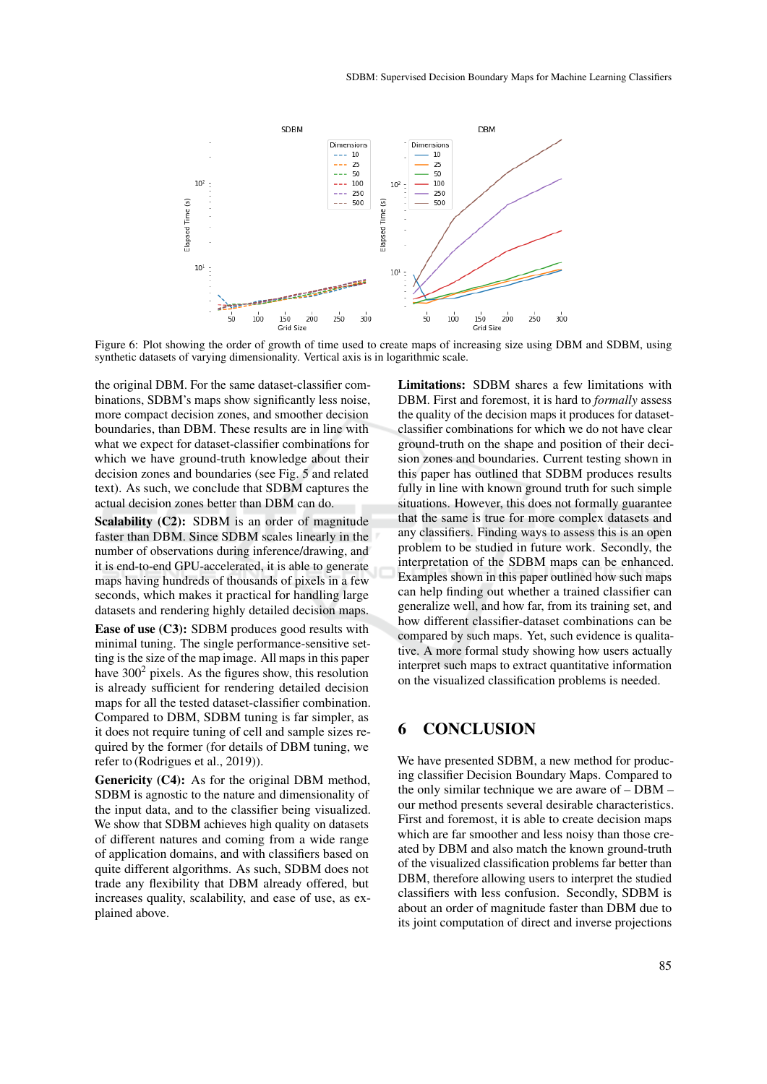

Figure 6: Plot showing the order of growth of time used to create maps of increasing size using DBM and SDBM, using synthetic datasets of varying dimensionality. Vertical axis is in logarithmic scale.

the original DBM. For the same dataset-classifier combinations, SDBM's maps show significantly less noise, more compact decision zones, and smoother decision boundaries, than DBM. These results are in line with what we expect for dataset-classifier combinations for which we have ground-truth knowledge about their decision zones and boundaries (see Fig. 5 and related text). As such, we conclude that SDBM captures the actual decision zones better than DBM can do.

Scalability (C2): SDBM is an order of magnitude faster than DBM. Since SDBM scales linearly in the number of observations during inference/drawing, and it is end-to-end GPU-accelerated, it is able to generate maps having hundreds of thousands of pixels in a few seconds, which makes it practical for handling large datasets and rendering highly detailed decision maps.

Ease of use (C3): SDBM produces good results with minimal tuning. The single performance-sensitive setting is the size of the map image. All maps in this paper have  $300<sup>2</sup>$  pixels. As the figures show, this resolution is already sufficient for rendering detailed decision maps for all the tested dataset-classifier combination. Compared to DBM, SDBM tuning is far simpler, as it does not require tuning of cell and sample sizes required by the former (for details of DBM tuning, we refer to (Rodrigues et al., 2019)).

Genericity (C4): As for the original DBM method, SDBM is agnostic to the nature and dimensionality of the input data, and to the classifier being visualized. We show that SDBM achieves high quality on datasets of different natures and coming from a wide range of application domains, and with classifiers based on quite different algorithms. As such, SDBM does not trade any flexibility that DBM already offered, but increases quality, scalability, and ease of use, as explained above.

Limitations: SDBM shares a few limitations with DBM. First and foremost, it is hard to *formally* assess the quality of the decision maps it produces for datasetclassifier combinations for which we do not have clear ground-truth on the shape and position of their decision zones and boundaries. Current testing shown in this paper has outlined that SDBM produces results fully in line with known ground truth for such simple situations. However, this does not formally guarantee that the same is true for more complex datasets and any classifiers. Finding ways to assess this is an open problem to be studied in future work. Secondly, the interpretation of the SDBM maps can be enhanced. Examples shown in this paper outlined how such maps can help finding out whether a trained classifier can generalize well, and how far, from its training set, and how different classifier-dataset combinations can be compared by such maps. Yet, such evidence is qualitative. A more formal study showing how users actually interpret such maps to extract quantitative information on the visualized classification problems is needed.

## 6 CONCLUSION

We have presented SDBM, a new method for producing classifier Decision Boundary Maps. Compared to the only similar technique we are aware of – DBM – our method presents several desirable characteristics. First and foremost, it is able to create decision maps which are far smoother and less noisy than those created by DBM and also match the known ground-truth of the visualized classification problems far better than DBM, therefore allowing users to interpret the studied classifiers with less confusion. Secondly, SDBM is about an order of magnitude faster than DBM due to its joint computation of direct and inverse projections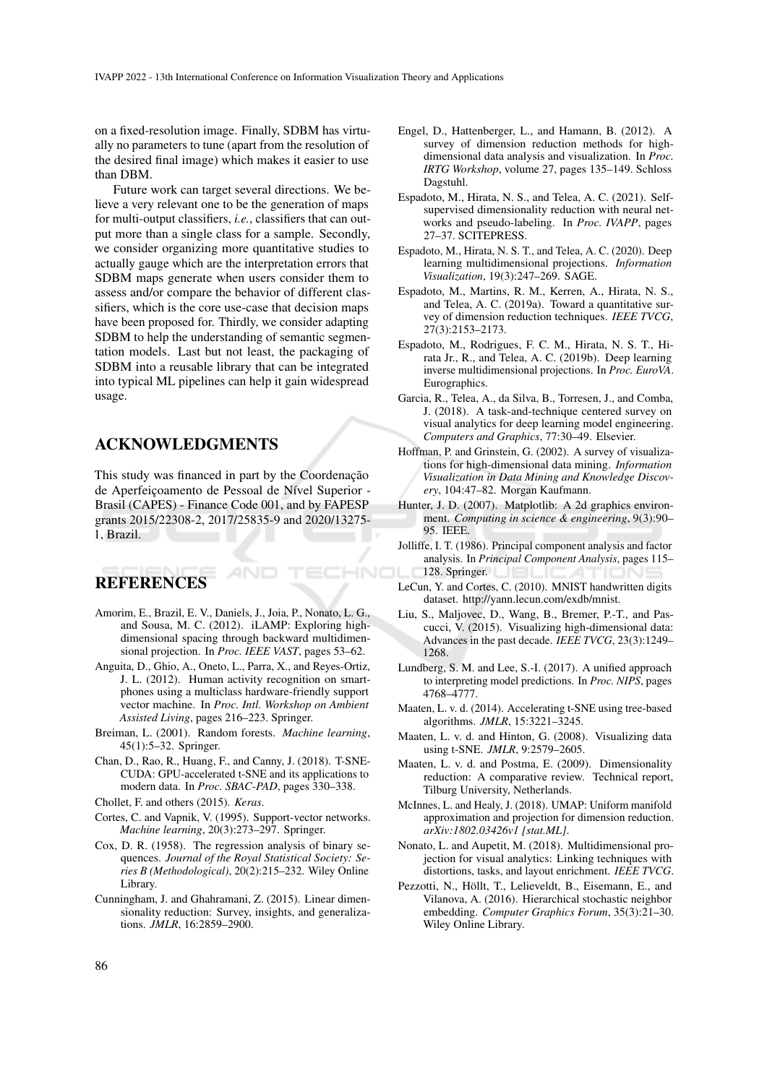on a fixed-resolution image. Finally, SDBM has virtually no parameters to tune (apart from the resolution of the desired final image) which makes it easier to use than DBM.

Future work can target several directions. We believe a very relevant one to be the generation of maps for multi-output classifiers, *i.e.*, classifiers that can output more than a single class for a sample. Secondly, we consider organizing more quantitative studies to actually gauge which are the interpretation errors that SDBM maps generate when users consider them to assess and/or compare the behavior of different classifiers, which is the core use-case that decision maps have been proposed for. Thirdly, we consider adapting SDBM to help the understanding of semantic segmentation models. Last but not least, the packaging of SDBM into a reusable library that can be integrated into typical ML pipelines can help it gain widespread usage.

## ACKNOWLEDGMENTS

This study was financed in part by the Coordenação de Aperfeiçoamento de Pessoal de Nível Superior -Brasil (CAPES) - Finance Code 001, and by FAPESP grants 2015/22308-2, 2017/25835-9 and 2020/13275- 1, Brazil.

# **REFERENCES**

Amorim, E., Brazil, E. V., Daniels, J., Joia, P., Nonato, L. G., and Sousa, M. C. (2012). iLAMP: Exploring highdimensional spacing through backward multidimensional projection. In *Proc. IEEE VAST*, pages 53–62.

HNC

- Anguita, D., Ghio, A., Oneto, L., Parra, X., and Reyes-Ortiz, J. L. (2012). Human activity recognition on smartphones using a multiclass hardware-friendly support vector machine. In *Proc. Intl. Workshop on Ambient Assisted Living*, pages 216–223. Springer.
- Breiman, L. (2001). Random forests. *Machine learning*, 45(1):5–32. Springer.
- Chan, D., Rao, R., Huang, F., and Canny, J. (2018). T-SNE-CUDA: GPU-accelerated t-SNE and its applications to modern data. In *Proc. SBAC-PAD*, pages 330–338.
- Chollet, F. and others (2015). *Keras*.
- Cortes, C. and Vapnik, V. (1995). Support-vector networks. *Machine learning*, 20(3):273–297. Springer.
- Cox, D. R. (1958). The regression analysis of binary sequences. *Journal of the Royal Statistical Society: Series B (Methodological)*, 20(2):215–232. Wiley Online Library.
- Cunningham, J. and Ghahramani, Z. (2015). Linear dimensionality reduction: Survey, insights, and generalizations. *JMLR*, 16:2859–2900.
- Engel, D., Hattenberger, L., and Hamann, B. (2012). A survey of dimension reduction methods for highdimensional data analysis and visualization. In *Proc. IRTG Workshop*, volume 27, pages 135–149. Schloss Dagstuhl.
- Espadoto, M., Hirata, N. S., and Telea, A. C. (2021). Selfsupervised dimensionality reduction with neural networks and pseudo-labeling. In *Proc. IVAPP*, pages 27–37. SCITEPRESS.
- Espadoto, M., Hirata, N. S. T., and Telea, A. C. (2020). Deep learning multidimensional projections. *Information Visualization*, 19(3):247–269. SAGE.
- Espadoto, M., Martins, R. M., Kerren, A., Hirata, N. S., and Telea, A. C. (2019a). Toward a quantitative survey of dimension reduction techniques. *IEEE TVCG*, 27(3):2153–2173.
- Espadoto, M., Rodrigues, F. C. M., Hirata, N. S. T., Hirata Jr., R., and Telea, A. C. (2019b). Deep learning inverse multidimensional projections. In *Proc. EuroVA*. Eurographics.
- Garcia, R., Telea, A., da Silva, B., Torresen, J., and Comba, J. (2018). A task-and-technique centered survey on visual analytics for deep learning model engineering. *Computers and Graphics*, 77:30–49. Elsevier.
- Hoffman, P. and Grinstein, G. (2002). A survey of visualizations for high-dimensional data mining. *Information Visualization in Data Mining and Knowledge Discovery*, 104:47–82. Morgan Kaufmann.
- Hunter, J. D. (2007). Matplotlib: A 2d graphics environment. *Computing in science & engineering*, 9(3):90– 95. IEEE.
- Jolliffe, I. T. (1986). Principal component analysis and factor analysis. In *Principal Component Analysis*, pages 115– 128. Springer.
- LeCun, Y. and Cortes, C. (2010). MNIST handwritten digits dataset. http://yann.lecun.com/exdb/mnist.
- Liu, S., Maljovec, D., Wang, B., Bremer, P.-T., and Pascucci, V. (2015). Visualizing high-dimensional data: Advances in the past decade. *IEEE TVCG*, 23(3):1249– 1268.
- Lundberg, S. M. and Lee, S.-I. (2017). A unified approach to interpreting model predictions. In *Proc. NIPS*, pages 4768–4777.
- Maaten, L. v. d. (2014). Accelerating t-SNE using tree-based algorithms. *JMLR*, 15:3221–3245.
- Maaten, L. v. d. and Hinton, G. (2008). Visualizing data using t-SNE. *JMLR*, 9:2579–2605.
- Maaten, L. v. d. and Postma, E. (2009). Dimensionality reduction: A comparative review. Technical report, Tilburg University, Netherlands.
- McInnes, L. and Healy, J. (2018). UMAP: Uniform manifold approximation and projection for dimension reduction. *arXiv:1802.03426v1 [stat.ML]*.
- Nonato, L. and Aupetit, M. (2018). Multidimensional projection for visual analytics: Linking techniques with distortions, tasks, and layout enrichment. *IEEE TVCG*.
- Pezzotti, N., Höllt, T., Lelieveldt, B., Eisemann, E., and Vilanova, A. (2016). Hierarchical stochastic neighbor embedding. *Computer Graphics Forum*, 35(3):21–30. Wiley Online Library.